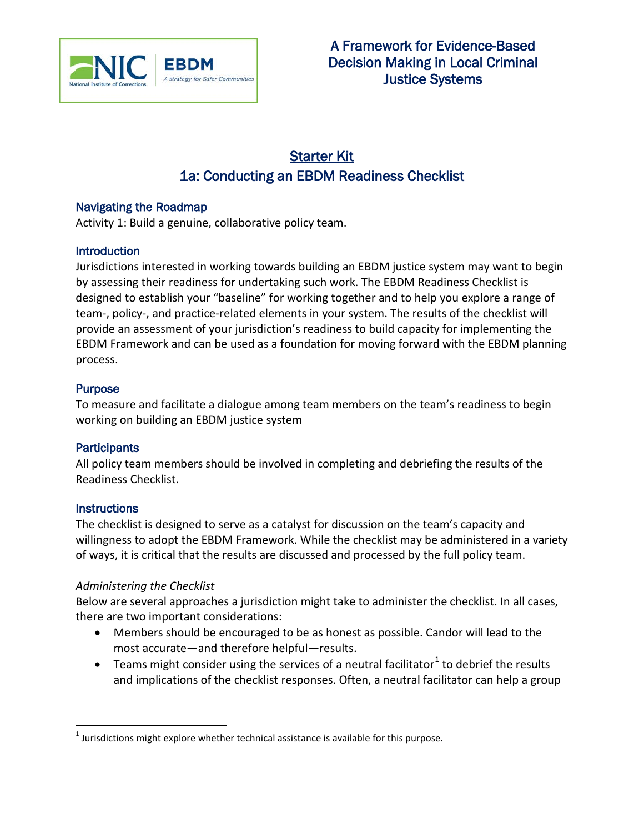

# Starter Kit 1a: Conducting an EBDM Readiness Checklist

# Navigating the Roadmap

Activity 1: Build a genuine, collaborative policy team.

## **Introduction**

Jurisdictions interested in working towards building an EBDM justice system may want to begin by assessing their readiness for undertaking such work. The EBDM Readiness Checklist is designed to establish your "baseline" for working together and to help you explore a range of team-, policy-, and practice-related elements in your system. The results of the checklist will provide an assessment of your jurisdiction's readiness to build capacity for implementing the EBDM Framework and can be used as a foundation for moving forward with the EBDM planning process.

# **Purpose**

To measure and facilitate a dialogue among team members on the team's readiness to begin working on building an EBDM justice system

## **Participants**

All policy team members should be involved in completing and debriefing the results of the Readiness Checklist.

## **Instructions**

The checklist is designed to serve as a catalyst for discussion on the team's capacity and willingness to adopt the EBDM Framework. While the checklist may be administered in a variety of ways, it is critical that the results are discussed and processed by the full policy team.

## *Administering the Checklist*

Below are several approaches a jurisdiction might take to administer the checklist. In all cases, there are two important considerations:

- Members should be encouraged to be as honest as possible. Candor will lead to the most accurate—and therefore helpful—results.
- Teams might consider using the services of a neutral facilitator<sup>[1](#page-0-0)</sup> to debrief the results and implications of the checklist responses. Often, a neutral facilitator can help a group

<span id="page-0-0"></span> $1$  Jurisdictions might explore whether technical assistance is available for this purpose.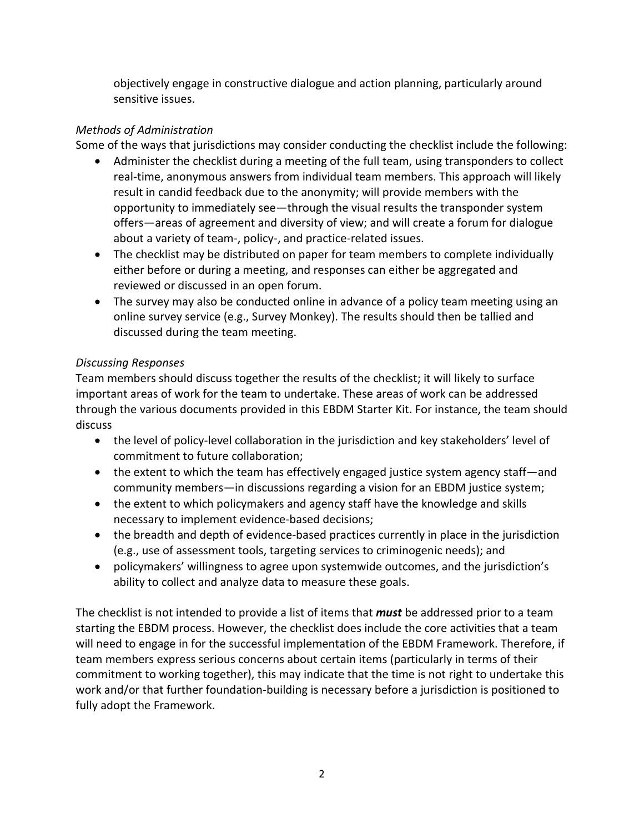objectively engage in constructive dialogue and action planning, particularly around sensitive issues.

# *Methods of Administration*

Some of the ways that jurisdictions may consider conducting the checklist include the following:

- Administer the checklist during a meeting of the full team, using transponders to collect real-time, anonymous answers from individual team members. This approach will likely result in candid feedback due to the anonymity; will provide members with the opportunity to immediately see—through the visual results the transponder system offers—areas of agreement and diversity of view; and will create a forum for dialogue about a variety of team-, policy-, and practice-related issues.
- The checklist may be distributed on paper for team members to complete individually either before or during a meeting, and responses can either be aggregated and reviewed or discussed in an open forum.
- The survey may also be conducted online in advance of a policy team meeting using an online survey service (e.g., Survey Monkey). The results should then be tallied and discussed during the team meeting.

# *Discussing Responses*

Team members should discuss together the results of the checklist; it will likely to surface important areas of work for the team to undertake. These areas of work can be addressed through the various documents provided in this EBDM Starter Kit. For instance, the team should discuss

- the level of policy-level collaboration in the jurisdiction and key stakeholders' level of commitment to future collaboration;
- the extent to which the team has effectively engaged justice system agency staff—and community members—in discussions regarding a vision for an EBDM justice system;
- the extent to which policymakers and agency staff have the knowledge and skills necessary to implement evidence-based decisions;
- the breadth and depth of evidence-based practices currently in place in the jurisdiction (e.g., use of assessment tools, targeting services to criminogenic needs); and
- policymakers' willingness to agree upon systemwide outcomes, and the jurisdiction's ability to collect and analyze data to measure these goals.

The checklist is not intended to provide a list of items that *must* be addressed prior to a team starting the EBDM process. However, the checklist does include the core activities that a team will need to engage in for the successful implementation of the EBDM Framework. Therefore, if team members express serious concerns about certain items (particularly in terms of their commitment to working together), this may indicate that the time is not right to undertake this work and/or that further foundation-building is necessary before a jurisdiction is positioned to fully adopt the Framework.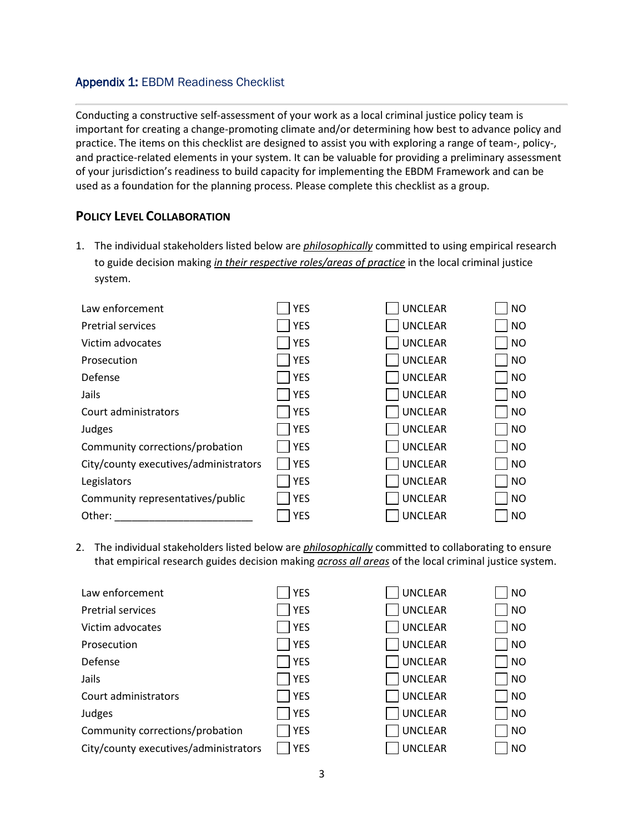## Appendix 1: EBDM Readiness Checklist

Conducting a constructive self-assessment of your work as a local criminal justice policy team is important for creating a change-promoting climate and/or determining how best to advance policy and practice. The items on this checklist are designed to assist you with exploring a range of team-, policy-, and practice-related elements in your system. It can be valuable for providing a preliminary assessment of your jurisdiction's readiness to build capacity for implementing the EBDM Framework and can be used as a foundation for the planning process. Please complete this checklist as a group.

## **POLICY LEVEL COLLABORATION**

1. The individual stakeholders listed below are *philosophically* committed to using empirical research to guide decision making *in their respective roles/areas of practice* in the local criminal justice system.

| Law enforcement                       | <b>YES</b> | <b>UNCLEAR</b> | <b>NO</b> |
|---------------------------------------|------------|----------------|-----------|
| <b>Pretrial services</b>              | <b>YES</b> | <b>UNCLEAR</b> | <b>NO</b> |
| Victim advocates                      | <b>YES</b> | <b>UNCLEAR</b> | <b>NO</b> |
| Prosecution                           | <b>YES</b> | <b>UNCLEAR</b> | <b>NO</b> |
| Defense                               | <b>YES</b> | <b>UNCLEAR</b> | <b>NO</b> |
| Jails                                 | <b>YES</b> | <b>UNCLEAR</b> | <b>NO</b> |
| Court administrators                  | <b>YES</b> | <b>UNCLEAR</b> | <b>NO</b> |
| Judges                                | <b>YES</b> | <b>UNCLEAR</b> | <b>NO</b> |
| Community corrections/probation       | <b>YES</b> | <b>UNCLEAR</b> | <b>NO</b> |
| City/county executives/administrators | <b>YES</b> | <b>UNCLEAR</b> | <b>NO</b> |
| Legislators                           | <b>YES</b> | <b>UNCLEAR</b> | <b>NO</b> |
| Community representatives/public      | <b>YES</b> | <b>UNCLEAR</b> | <b>NO</b> |
| Other:                                | <b>YES</b> | <b>UNCLEAR</b> | <b>NO</b> |

2. The individual stakeholders listed below are *philosophically* committed to collaborating to ensure that empirical research guides decision making *across all areas* of the local criminal justice system.

| Law enforcement                       | <b>YES</b> | <b>UNCLEAR</b> | NO                    |
|---------------------------------------|------------|----------------|-----------------------|
| <b>Pretrial services</b>              | <b>YES</b> | <b>UNCLEAR</b> | NO                    |
| Victim advocates                      | <b>YES</b> | <b>UNCLEAR</b> | $\overline{\big }$ NO |
| Prosecution                           | <b>YES</b> | <b>UNCLEAR</b> | NO                    |
| Defense                               | <b>YES</b> | <b>UNCLEAR</b> | $\overline{\big }$ NO |
| Jails                                 | <b>YES</b> | <b>UNCLEAR</b> | $\overline{\big }$ NO |
| Court administrators                  | <b>YES</b> | <b>UNCLEAR</b> | NO                    |
| Judges                                | <b>YES</b> | <b>UNCLEAR</b> | NO                    |
| Community corrections/probation       | <b>YES</b> | <b>UNCLEAR</b> | NO                    |
| City/county executives/administrators | <b>YES</b> | <b>UNCLEAR</b> | NO                    |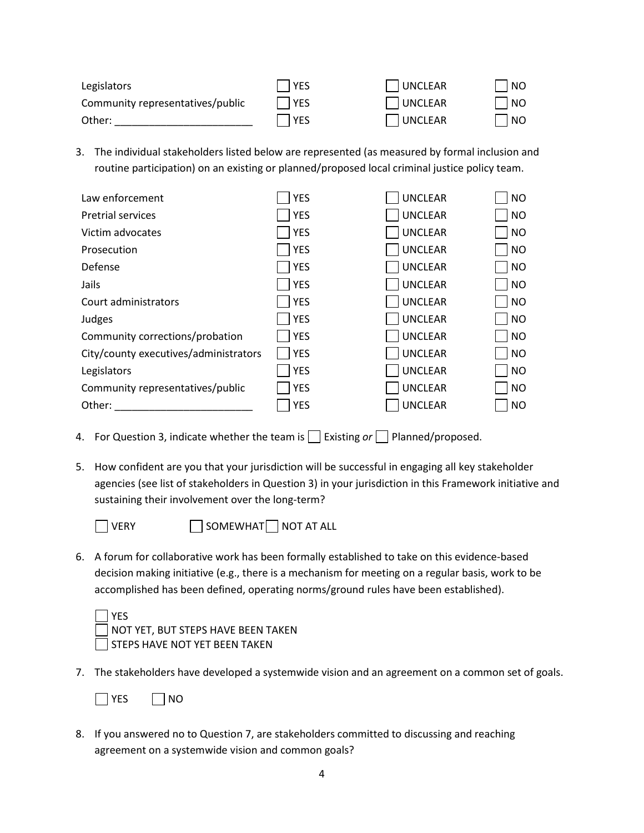| Legislators                      | <b>SES</b> | UNCLEAR        | NO |
|----------------------------------|------------|----------------|----|
| Community representatives/public | YES        | UNCLEAR        | NO |
| Other:                           | l YES      | <b>UNCLEAR</b> | NO |

3. The individual stakeholders listed below are represented (as measured by formal inclusion and routine participation) on an existing or planned/proposed local criminal justice policy team.

| Law enforcement                       | <b>YES</b> | <b>UNCLEAR</b> | <b>NO</b> |
|---------------------------------------|------------|----------------|-----------|
| <b>Pretrial services</b>              | <b>YES</b> | <b>UNCLEAR</b> | <b>NO</b> |
| Victim advocates                      | <b>YES</b> | <b>UNCLEAR</b> | <b>NO</b> |
| Prosecution                           | <b>YES</b> | <b>UNCLEAR</b> | <b>NO</b> |
| Defense                               | <b>YES</b> | <b>UNCLEAR</b> | <b>NO</b> |
| Jails                                 | <b>YES</b> | <b>UNCLEAR</b> | <b>NO</b> |
| Court administrators                  | <b>YES</b> | <b>UNCLEAR</b> | <b>NO</b> |
| Judges                                | <b>YES</b> | <b>UNCLEAR</b> | <b>NO</b> |
| Community corrections/probation       | <b>YES</b> | <b>UNCLEAR</b> | <b>NO</b> |
| City/county executives/administrators | <b>YES</b> | <b>UNCLEAR</b> | <b>NO</b> |
| Legislators                           | <b>YES</b> | <b>UNCLEAR</b> | <b>NO</b> |
| Community representatives/public      | <b>YES</b> | <b>UNCLEAR</b> | <b>NO</b> |
| Other:                                | <b>YES</b> | <b>UNCLEAR</b> | <b>NO</b> |

- 4. For Question 3, indicate whether the team is  $\Box$  Existing or  $\Box$  Planned/proposed.
- 5. How confident are you that your jurisdiction will be successful in engaging all key stakeholder agencies (see list of stakeholders in Question 3) in your jurisdiction in this Framework initiative and sustaining their involvement over the long-term?



 $\Box$  VERY  $\Box$  SOMEWHAT NOT AT ALL

6. A forum for collaborative work has been formally established to take on this evidence-based decision making initiative (e.g., there is a mechanism for meeting on a regular basis, work to be accomplished has been defined, operating norms/ground rules have been established).

| $\Box$ YES                                |
|-------------------------------------------|
| $\Box$ NOT YET, BUT STEPS HAVE BEEN TAKEN |
| STEPS HAVE NOT YET BEEN TAKEN             |

7. The stakeholders have developed a systemwide vision and an agreement on a common set of goals.

8. If you answered no to Question 7, are stakeholders committed to discussing and reaching agreement on a systemwide vision and common goals?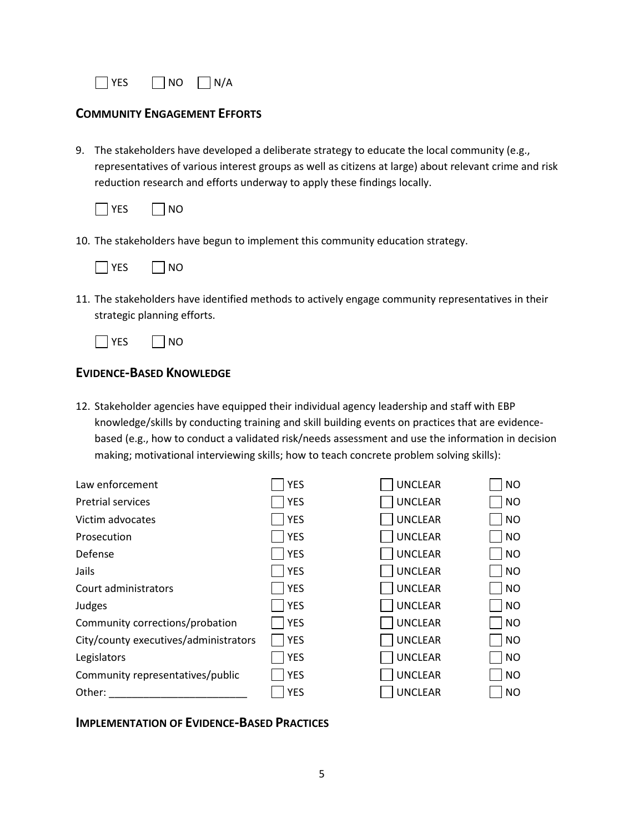

### **COMMUNITY ENGAGEMENT EFFORTS**

9. The stakeholders have developed a deliberate strategy to educate the local community (e.g., representatives of various interest groups as well as citizens at large) about relevant crime and risk reduction research and efforts underway to apply these findings locally.



10. The stakeholders have begun to implement this community education strategy.



11. The stakeholders have identified methods to actively engage community representatives in their strategic planning efforts.



### **EVIDENCE-BASED KNOWLEDGE**

12. Stakeholder agencies have equipped their individual agency leadership and staff with EBP knowledge/skills by conducting training and skill building events on practices that are evidencebased (e.g., how to conduct a validated risk/needs assessment and use the information in decision making; motivational interviewing skills; how to teach concrete problem solving skills):

| Law enforcement                       | <b>YES</b> | <b>UNCLEAR</b> | <b>NO</b> |
|---------------------------------------|------------|----------------|-----------|
| <b>Pretrial services</b>              | <b>YES</b> | <b>UNCLEAR</b> | <b>NO</b> |
| Victim advocates                      | <b>YES</b> | <b>UNCLEAR</b> | <b>NO</b> |
| Prosecution                           | <b>YES</b> | <b>UNCLEAR</b> | <b>NO</b> |
| Defense                               | <b>YES</b> | <b>UNCLEAR</b> | <b>NO</b> |
| Jails                                 | <b>YES</b> | <b>UNCLEAR</b> | <b>NO</b> |
| Court administrators                  | <b>YES</b> | <b>UNCLEAR</b> | NO        |
| Judges                                | <b>YES</b> | <b>UNCLEAR</b> | <b>NO</b> |
| Community corrections/probation       | <b>YES</b> | <b>UNCLEAR</b> | <b>NO</b> |
| City/county executives/administrators | <b>YES</b> | <b>UNCLEAR</b> | <b>NO</b> |
| Legislators                           | <b>YES</b> | <b>UNCLEAR</b> | <b>NO</b> |
| Community representatives/public      | <b>YES</b> | <b>UNCLEAR</b> | <b>NO</b> |
| Other:                                | <b>YES</b> | <b>UNCLEAR</b> | <b>NO</b> |

### **IMPLEMENTATION OF EVIDENCE-BASED PRACTICES**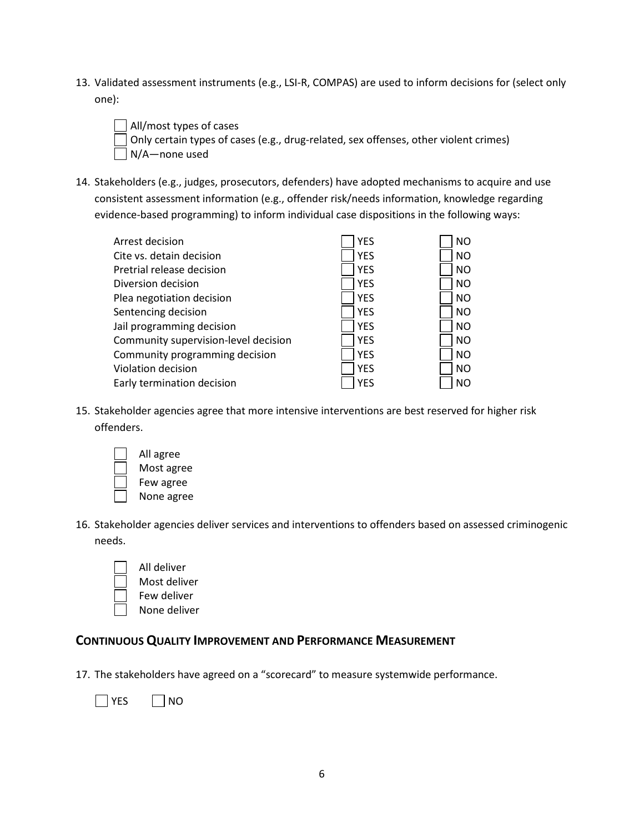- 13. Validated assessment instruments (e.g., LSI-R, COMPAS) are used to inform decisions for (select only one):
	- All/most types of cases Only certain types of cases (e.g., drug-related, sex offenses, other violent crimes) N/A—none used
- 14. Stakeholders (e.g., judges, prosecutors, defenders) have adopted mechanisms to acquire and use consistent assessment information (e.g., offender risk/needs information, knowledge regarding evidence-based programming) to inform individual case dispositions in the following ways:

| Arrest decision                      | <b>YES</b> | <b>NO</b> |
|--------------------------------------|------------|-----------|
| Cite vs. detain decision             | <b>YES</b> | <b>NO</b> |
| Pretrial release decision            | <b>YES</b> | <b>NO</b> |
| Diversion decision                   | <b>YES</b> | <b>NO</b> |
| Plea negotiation decision            | <b>YES</b> | <b>NO</b> |
| Sentencing decision                  | <b>YES</b> | <b>NO</b> |
| Jail programming decision            | <b>YES</b> | <b>NO</b> |
| Community supervision-level decision | <b>YES</b> | <b>NO</b> |
| Community programming decision       | <b>YES</b> | <b>NO</b> |
| Violation decision                   | <b>YES</b> | <b>NO</b> |
| Early termination decision           | <b>YES</b> | NO        |

- 15. Stakeholder agencies agree that more intensive interventions are best reserved for higher risk offenders.
	- All agree Most agree Few agree None agree
- 16. Stakeholder agencies deliver services and interventions to offenders based on assessed criminogenic needs.
	- All deliver
		- Most deliver
		- Few deliver
		- None deliver

## **CONTINUOUS QUALITY IMPROVEMENT AND PERFORMANCE MEASUREMENT**

17. The stakeholders have agreed on a "scorecard" to measure systemwide performance.

 $\Box$  YES  $\Box$  NO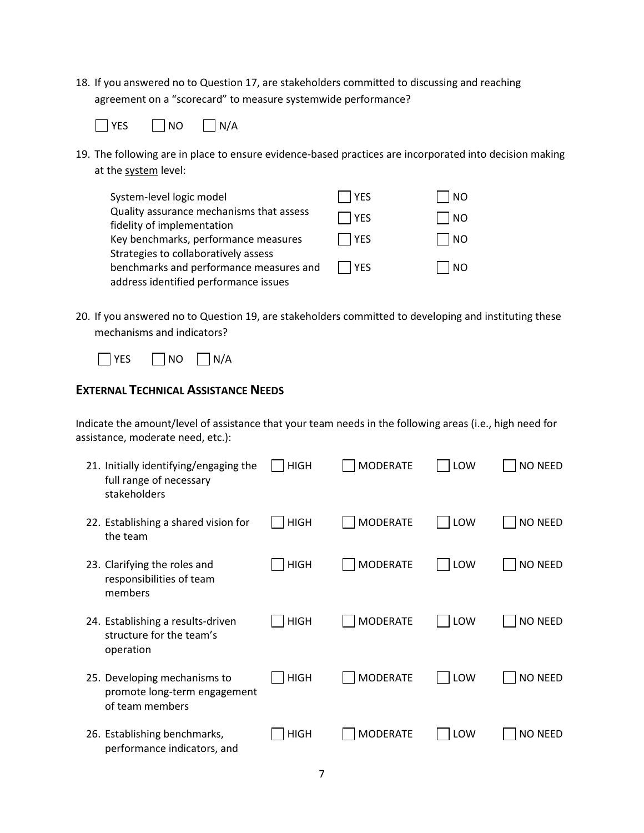18. If you answered no to Question 17, are stakeholders committed to discussing and reaching agreement on a "scorecard" to measure systemwide performance?



19. The following are in place to ensure evidence-based practices are incorporated into decision making at the system level:

| System-level logic model                 | <b>YES</b> | NO.       |
|------------------------------------------|------------|-----------|
| Quality assurance mechanisms that assess | l YES      | <b>NO</b> |
| fidelity of implementation               |            |           |
| Key benchmarks, performance measures     | YES        | <b>NO</b> |
| Strategies to collaboratively assess     |            |           |
| benchmarks and performance measures and  | l IYES     | NO        |
| address identified performance issues    |            |           |

20. If you answered no to Question 19, are stakeholders committed to developing and instituting these mechanisms and indicators?



# **EXTERNAL TECHNICAL ASSISTANCE NEEDS**

Indicate the amount/level of assistance that your team needs in the following areas (i.e., high need for assistance, moderate need, etc.):

| 21. Initially identifying/engaging the<br>full range of necessary<br>stakeholders | <b>HIGH</b> | <b>MODERATE</b> | LOW | <b>NO NEED</b> |
|-----------------------------------------------------------------------------------|-------------|-----------------|-----|----------------|
| 22. Establishing a shared vision for<br>the team                                  | <b>HIGH</b> | <b>MODERATE</b> | LOW | <b>NO NEED</b> |
| 23. Clarifying the roles and<br>responsibilities of team<br>members               | <b>HIGH</b> | <b>MODERATE</b> | LOW | <b>NO NEED</b> |
| 24. Establishing a results-driven<br>structure for the team's<br>operation        | <b>HIGH</b> | <b>MODERATE</b> | LOW | <b>NO NEED</b> |
| 25. Developing mechanisms to<br>promote long-term engagement<br>of team members   | <b>HIGH</b> | <b>MODERATE</b> | LOW | <b>NO NEED</b> |
| 26. Establishing benchmarks,<br>performance indicators, and                       | <b>HIGH</b> | <b>MODERATE</b> | LOW | <b>NO NEED</b> |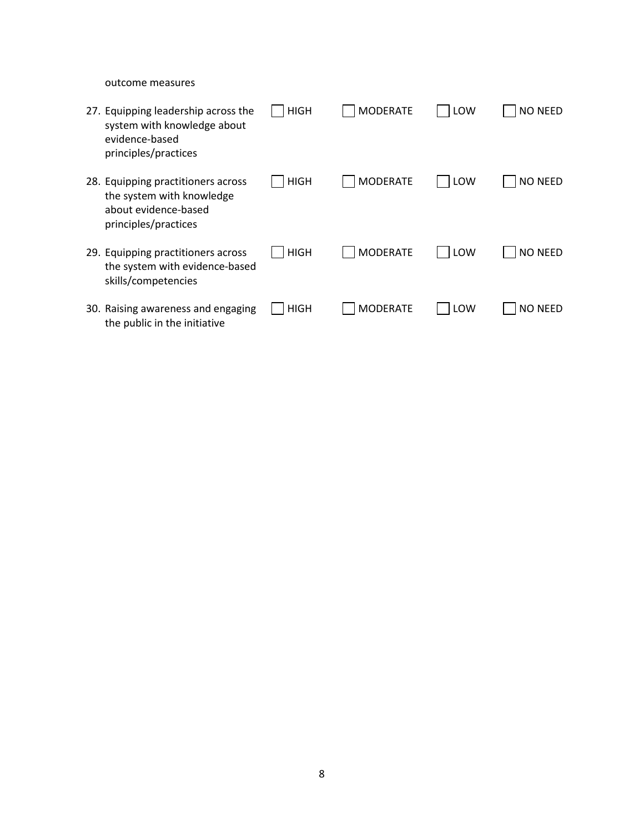outcome measures

| 27. Equipping leadership across the<br>system with knowledge about<br>evidence-based<br>principles/practices    | HIGH        | <b>MODERATE</b> | LOW | <b>NO NEED</b> |
|-----------------------------------------------------------------------------------------------------------------|-------------|-----------------|-----|----------------|
| 28. Equipping practitioners across<br>the system with knowledge<br>about evidence-based<br>principles/practices | <b>HIGH</b> | <b>MODERATE</b> | LOW | <b>NO NEED</b> |
| 29. Equipping practitioners across<br>the system with evidence-based<br>skills/competencies                     | <b>HIGH</b> | <b>MODERATE</b> | LOW | <b>NO NEED</b> |
| 30. Raising awareness and engaging<br>the public in the initiative                                              | HIGH        | <b>MODERATE</b> | LOW | <b>NO NEED</b> |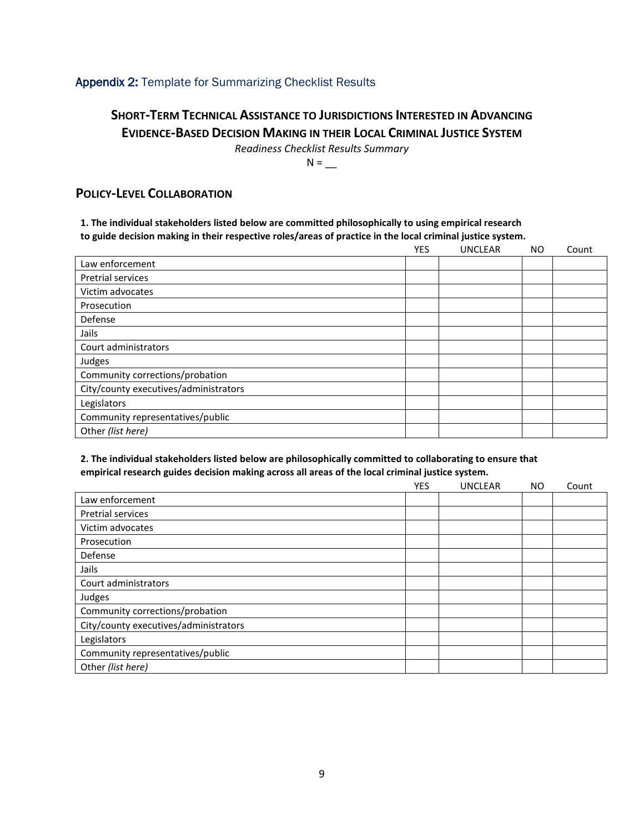### Appendix 2: Template for Summarizing Checklist Results

# **SHORT-TERM TECHNICAL ASSISTANCE TO JURISDICTIONS INTERESTED IN ADVANCING EVIDENCE-BASED DECISION MAKING IN THEIR LOCAL CRIMINAL JUSTICE SYSTEM**

*Readiness Checklist Results Summary*

 $N = \_$ 

### **POLICY-LEVEL COLLABORATION**

### **1. The individual stakeholders listed below are committed philosophically to using empirical research to guide decision making in their respective roles/areas of practice in the local criminal justice system.**

|                                       | <b>YES</b> | <b>UNCLEAR</b> | <b>NO</b> | Count |
|---------------------------------------|------------|----------------|-----------|-------|
| Law enforcement                       |            |                |           |       |
| <b>Pretrial services</b>              |            |                |           |       |
| Victim advocates                      |            |                |           |       |
| Prosecution                           |            |                |           |       |
| Defense                               |            |                |           |       |
| Jails                                 |            |                |           |       |
| Court administrators                  |            |                |           |       |
| Judges                                |            |                |           |       |
| Community corrections/probation       |            |                |           |       |
| City/county executives/administrators |            |                |           |       |
| Legislators                           |            |                |           |       |
| Community representatives/public      |            |                |           |       |
| Other (list here)                     |            |                |           |       |

### **2. The individual stakeholders listed below are philosophically committed to collaborating to ensure that empirical research guides decision making across all areas of the local criminal justice system.**

|                                       | <b>YES</b> | <b>UNCLEAR</b> | <b>NO</b> | Count |
|---------------------------------------|------------|----------------|-----------|-------|
| Law enforcement                       |            |                |           |       |
| <b>Pretrial services</b>              |            |                |           |       |
| Victim advocates                      |            |                |           |       |
| Prosecution                           |            |                |           |       |
| Defense                               |            |                |           |       |
| Jails                                 |            |                |           |       |
| Court administrators                  |            |                |           |       |
| Judges                                |            |                |           |       |
| Community corrections/probation       |            |                |           |       |
| City/county executives/administrators |            |                |           |       |
| Legislators                           |            |                |           |       |
| Community representatives/public      |            |                |           |       |
| Other (list here)                     |            |                |           |       |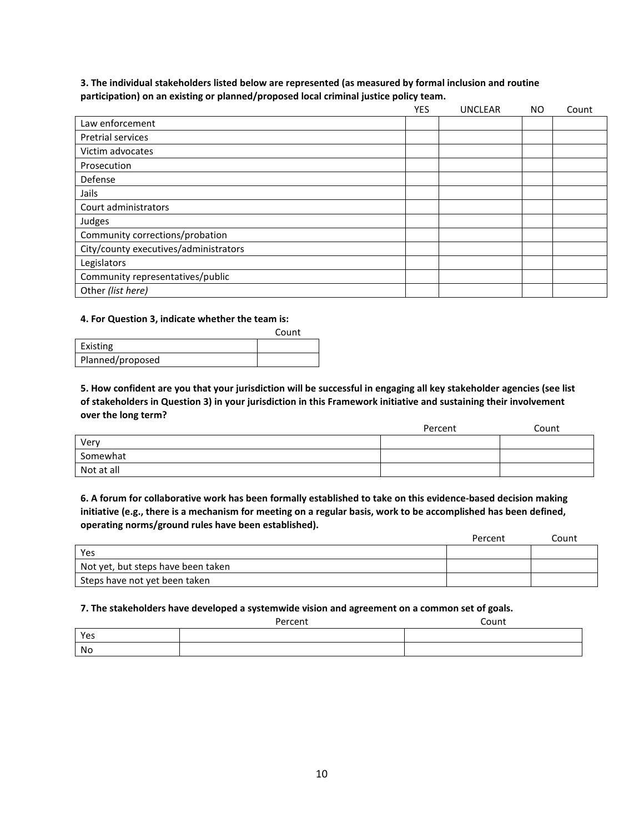### **3. The individual stakeholders listed below are represented (as measured by formal inclusion and routine participation) on an existing or planned/proposed local criminal justice policy team.**

|                                       | <b>YES</b> | <b>UNCLEAR</b> | NO. | Count |
|---------------------------------------|------------|----------------|-----|-------|
| Law enforcement                       |            |                |     |       |
| <b>Pretrial services</b>              |            |                |     |       |
| Victim advocates                      |            |                |     |       |
| Prosecution                           |            |                |     |       |
| Defense                               |            |                |     |       |
| Jails                                 |            |                |     |       |
| Court administrators                  |            |                |     |       |
| Judges                                |            |                |     |       |
| Community corrections/probation       |            |                |     |       |
| City/county executives/administrators |            |                |     |       |
| Legislators                           |            |                |     |       |
| Community representatives/public      |            |                |     |       |
| Other (list here)                     |            |                |     |       |

#### **4. For Question 3, indicate whether the team is:**

|                  | Count |
|------------------|-------|
| Existing         |       |
| Planned/proposed |       |

**5. How confident are you that your jurisdiction will be successful in engaging all key stakeholder agencies (see list of stakeholders in Question 3) in your jurisdiction in this Framework initiative and sustaining their involvement over the long term?**

|            | Percent | Count |
|------------|---------|-------|
| Very       |         |       |
| Somewhat   |         |       |
| Not at all |         |       |

**6. A forum for collaborative work has been formally established to take on this evidence-based decision making initiative (e.g., there is a mechanism for meeting on a regular basis, work to be accomplished has been defined, operating norms/ground rules have been established).**

|                                    | Percent | Count |
|------------------------------------|---------|-------|
| Yes                                |         |       |
| Not yet, but steps have been taken |         |       |
| Steps have not yet been taken      |         |       |

#### **7. The stakeholders have developed a systemwide vision and agreement on a common set of goals.**

|     | Percent | Count |
|-----|---------|-------|
| Yes |         |       |
| No  |         |       |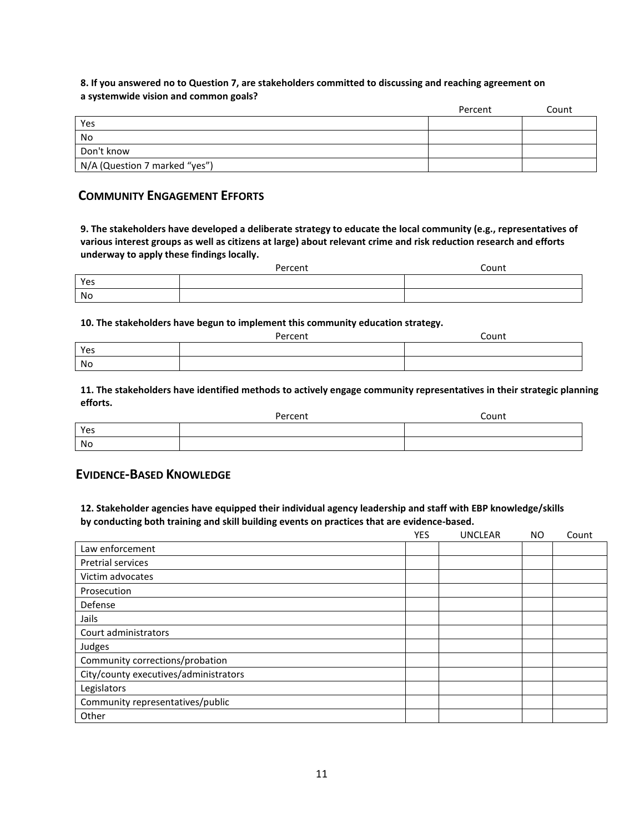### **8. If you answered no to Question 7, are stakeholders committed to discussing and reaching agreement on a systemwide vision and common goals?**

|                               | Percent | Count |
|-------------------------------|---------|-------|
| Yes                           |         |       |
| No                            |         |       |
| Don't know                    |         |       |
| N/A (Question 7 marked "yes") |         |       |

### **COMMUNITY ENGAGEMENT EFFORTS**

**9. The stakeholders have developed a deliberate strategy to educate the local community (e.g., representatives of various interest groups as well as citizens at large) about relevant crime and risk reduction research and efforts underway to apply these findings locally.**

|     | Percent | ົ <sub>ດunt</sub> |
|-----|---------|-------------------|
| Yes |         |                   |
| No  |         |                   |

#### **10. The stakeholders have begun to implement this community education strategy.**

|     | Percent | Count |
|-----|---------|-------|
| Yes |         |       |
| No  |         |       |

**11. The stakeholders have identified methods to actively engage community representatives in their strategic planning efforts.**

|     | Percent | Count |
|-----|---------|-------|
| Yes |         |       |
| No  |         |       |

### **EVIDENCE-BASED KNOWLEDGE**

**12. Stakeholder agencies have equipped their individual agency leadership and staff with EBP knowledge/skills by conducting both training and skill building events on practices that are evidence-based.**

|                                       | <b>YES</b> | <b>UNCLEAR</b> | <b>NO</b> | Count |
|---------------------------------------|------------|----------------|-----------|-------|
| Law enforcement                       |            |                |           |       |
| Pretrial services                     |            |                |           |       |
| Victim advocates                      |            |                |           |       |
| Prosecution                           |            |                |           |       |
| Defense                               |            |                |           |       |
| Jails                                 |            |                |           |       |
| Court administrators                  |            |                |           |       |
| Judges                                |            |                |           |       |
| Community corrections/probation       |            |                |           |       |
| City/county executives/administrators |            |                |           |       |
| Legislators                           |            |                |           |       |
| Community representatives/public      |            |                |           |       |
| Other                                 |            |                |           |       |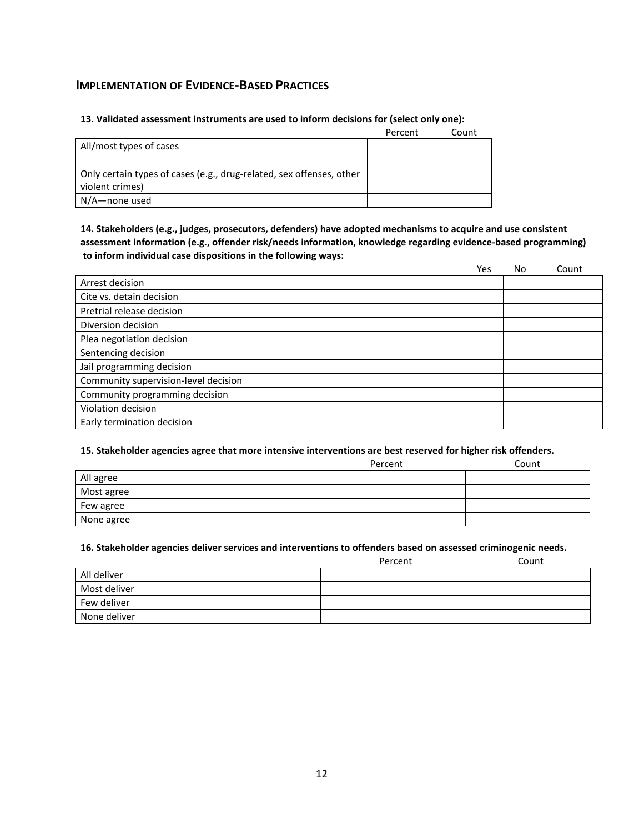### **IMPLEMENTATION OF EVIDENCE-BASED PRACTICES**

#### **13. Validated assessment instruments are used to inform decisions for (select only one):**

|                                                                      | Percent | Count |
|----------------------------------------------------------------------|---------|-------|
| All/most types of cases                                              |         |       |
|                                                                      |         |       |
| Only certain types of cases (e.g., drug-related, sex offenses, other |         |       |
| violent crimes)                                                      |         |       |
| N/A—none used                                                        |         |       |

### **14. Stakeholders (e.g., judges, prosecutors, defenders) have adopted mechanisms to acquire and use consistent assessment information (e.g., offender risk/needs information, knowledge regarding evidence-based programming) to inform individual case dispositions in the following ways:**

|                                      | Yes | No | Count |
|--------------------------------------|-----|----|-------|
| Arrest decision                      |     |    |       |
| Cite vs. detain decision             |     |    |       |
| Pretrial release decision            |     |    |       |
| Diversion decision                   |     |    |       |
| Plea negotiation decision            |     |    |       |
| Sentencing decision                  |     |    |       |
| Jail programming decision            |     |    |       |
| Community supervision-level decision |     |    |       |
| Community programming decision       |     |    |       |
| Violation decision                   |     |    |       |
| Early termination decision           |     |    |       |

#### **15. Stakeholder agencies agree that more intensive interventions are best reserved for higher risk offenders.**

|            | Percent | Count |
|------------|---------|-------|
| All agree  |         |       |
| Most agree |         |       |
| Few agree  |         |       |
| None agree |         |       |

#### **16. Stakeholder agencies deliver services and interventions to offenders based on assessed criminogenic needs.**

|              | Percent | Count |
|--------------|---------|-------|
| All deliver  |         |       |
| Most deliver |         |       |
| Few deliver  |         |       |
| None deliver |         |       |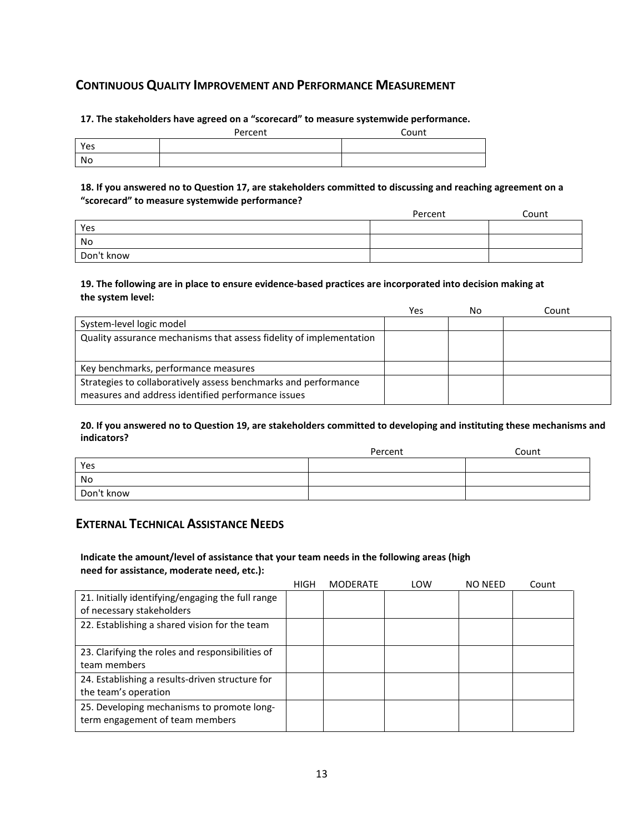## **CONTINUOUS QUALITY IMPROVEMENT AND PERFORMANCE MEASUREMENT**

**17. The stakeholders have agreed on a "scorecard" to measure systemwide performance.**

|     | Percent | Count |
|-----|---------|-------|
| Yes |         |       |
| No  |         |       |

**18. If you answered no to Question 17, are stakeholders committed to discussing and reaching agreement on a "scorecard" to measure systemwide performance?** 

|            | Percent | Count |
|------------|---------|-------|
| Yes        |         |       |
| No         |         |       |
| Don't know |         |       |

### **19. The following are in place to ensure evidence-based practices are incorporated into decision making at the system level:**

|                                                                                                                       | Yes | No | Count |
|-----------------------------------------------------------------------------------------------------------------------|-----|----|-------|
| System-level logic model                                                                                              |     |    |       |
| Quality assurance mechanisms that assess fidelity of implementation                                                   |     |    |       |
| Key benchmarks, performance measures                                                                                  |     |    |       |
| Strategies to collaboratively assess benchmarks and performance<br>measures and address identified performance issues |     |    |       |

#### **20. If you answered no to Question 19, are stakeholders committed to developing and instituting these mechanisms and indicators?**

|            | Percent | Count |
|------------|---------|-------|
| Yes        |         |       |
| No         |         |       |
| Don't know |         |       |

## **EXTERNAL TECHNICAL ASSISTANCE NEEDS**

### **Indicate the amount/level of assistance that your team needs in the following areas (high need for assistance, moderate need, etc.):**

|                                                                                | <b>HIGH</b> | <b>MODERATE</b> | LOW | <b>NO NEED</b> | Count |
|--------------------------------------------------------------------------------|-------------|-----------------|-----|----------------|-------|
| 21. Initially identifying/engaging the full range<br>of necessary stakeholders |             |                 |     |                |       |
| 22. Establishing a shared vision for the team                                  |             |                 |     |                |       |
| 23. Clarifying the roles and responsibilities of<br>team members               |             |                 |     |                |       |
| 24. Establishing a results-driven structure for<br>the team's operation        |             |                 |     |                |       |
| 25. Developing mechanisms to promote long-<br>term engagement of team members  |             |                 |     |                |       |